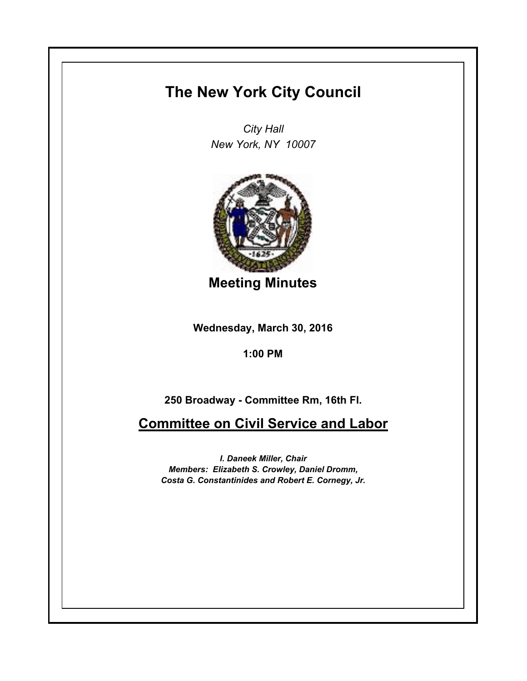## **The New York City Council**

*City Hall New York, NY 10007*



**Meeting Minutes**

**Wednesday, March 30, 2016**

**1:00 PM**

**250 Broadway - Committee Rm, 16th Fl.**

**Committee on Civil Service and Labor**

*I. Daneek Miller, Chair Members: Elizabeth S. Crowley, Daniel Dromm, Costa G. Constantinides and Robert E. Cornegy, Jr.*